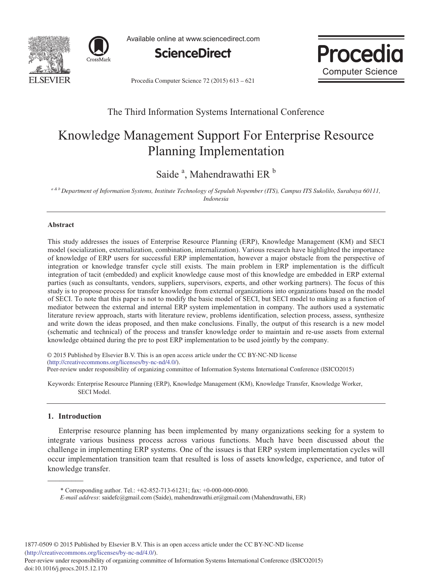



Available online at www.sciencedirect.com



Procedia Computer Science 72 (2015) 613 - 621



## The Third Information Systems International Conference

# Knowledge Management Support For Enterprise Resource Planning Implementation

Saide<sup>a</sup>, Mahendrawathi ER<sup>b</sup>

*a & b Department of Information Systems, Institute Technology of Sepuluh Nopember (ITS), Campus ITS Sukolilo, Surabaya 60111, Indonesia* 

### **Abstract**

This study addresses the issues of Enterprise Resource Planning (ERP), Knowledge Management (KM) and SECI model (socialization, externalization, combination, internalization). Various research have highlighted the importance of knowledge of ERP users for successful ERP implementation, however a major obstacle from the perspective of integration or knowledge transfer cycle still exists. The main problem in ERP implementation is the difficult integration of tacit (embedded) and explicit knowledge cause most of this knowledge are embedded in ERP external parties (such as consultants, vendors, suppliers, supervisors, experts, and other working partners). The focus of this study is to propose process for transfer knowledge from external organizations into organizations based on the model of SECI. To note that this paper is not to modify the basic model of SECI, but SECI model to making as a function of mediator between the external and internal ERP system implementation in company. The authors used a systematic literature review approach, starts with literature review, problems identification, selection process, assess, synthesize and write down the ideas proposed, and then make conclusions. Finally, the output of this research is a new model (schematic and technical) of the process and transfer knowledge order to maintain and re-use assets from external knowledge obtained during the pre to post ERP implementation to be used jointly by the company.

 $\odot$  2015 Published by Elsevier B.V. This is an open access article under the CC BY-NC-ND license<br>(http://apakines.com.nes.son/licenses/low ne. al. 40.0) committee of The Third Information Systems International Conference (ISICO 2015) Peer-review under responsibility of organizing committee of Information Systems International Conference (ISICO2015)(http://creativecommons.org/licenses/by-nc-nd/4.0/).

Keywords: Enterprise Resource Planning (ERP), Knowledge Management (KM), Knowledge Transfer, Knowledge Worker, SECI Model.

#### **1. Introduction**

 $\overline{\phantom{a}}$ 

Enterprise resource planning has been implemented by many organizations seeking for a system to integrate various business process across various functions. Much have been discussed about the challenge in implementing ERP systems. One of the issues is that ERP system implementation cycles will occur implementation transition team that resulted is loss of assets knowledge, experience, and tutor of knowledge transfer.

<sup>\*</sup> Corresponding author. Tel.: +62-852-713-61231; fax: +0-000-000-0000.

*E-mail address*: saidefc@gmail.com (Saide), mahendrawathi.er@gmail.com (Mahendrawathi, ER)

Peer-review under responsibility of organizing committee of Information Systems International Conference (ISICO2015) doi: 10.1016/j.procs.2015.12.170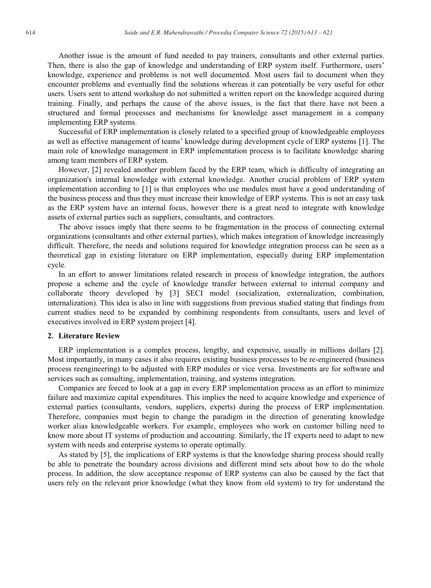Another issue is the amount of fund needed to pay trainers, consultants and other external parties. Then, there is also the gap of knowledge and understanding of ERP system itself. Furthermore, users' knowledge, experience and problems is not well documented. Most users fail to document when they encounter problems and eventually find the solutions whereas it can potentially be very useful for other users. Users sent to attend workshop do not submitted a written report on the knowledge acquired during training. Finally, and perhaps the cause of the above issues, is the fact that there have not been a structured and formal processes and mechanisms for knowledge asset management in a company implementing ERP systems.

Successful of ERP implementation is closely related to a specified group of knowledgeable employees as well as effective management of teams' knowledge during development cycle of ERP systems [1]. The main role of knowledge management in ERP implementation process is to facilitate knowledge sharing among team members of ERP system.

However, [2] revealed another problem faced by the ERP team, which is difficulty of integrating an organization's internal knowledge with external knowledge. Another crucial problem of ERP system implementation according to [1] is that employees who use modules must have a good understanding of the business process and thus they must increase their knowledge of ERP systems. This is not an easy task as the ERP system have an internal focus, however there is a great need to integrate with knowledge assets of external parties such as suppliers, consultants, and contractors.

The above issues imply that there seems to be fragmentation in the process of connecting external organizations (consultants and other external parties), which makes integration of knowledge increasingly difficult. Therefore, the needs and solutions required for knowledge integration process can be seen as a theoretical gap in existing literature on ERP implementation, especially during ERP implementation cycle.

In an effort to answer limitations related research in process of knowledge integration, the authors propose a scheme and the cycle of knowledge transfer between external to internal company and collaborate theory developed by [3] SECI model (socialization, externalization, combination, internalization). This idea is also in line with suggestions from previous studied stating that findings from current studies need to be expanded by combining respondents from consultants, users and level of executives involved in ERP system project [4].

### **2. Literature Review**

ERP implementation is a complex process, lengthy, and expensive, usually in millions dollars [2]. Most importantly, in many cases it also requires existing business processes to be re-engineered (business process reengineering) to be adjusted with ERP modules or vice versa. Investments are for software and services such as consulting, implementation, training, and systems integration.

Companies are forced to look at a gap in every ERP implementation process as an effort to minimize failure and maximize capital expenditures. This implies the need to acquire knowledge and experience of external parties (consultants, vendors, suppliers, experts) during the process of ERP implementation. Therefore, companies must begin to change the paradigm in the direction of generating knowledge worker alias knowledgeable workers. For example, employees who work on customer billing need to know more about IT systems of production and accounting. Similarly, the IT experts need to adapt to new system with needs and enterprise systems to operate optimally.

As stated by [5], the implications of ERP systems is that the knowledge sharing process should really be able to penetrate the boundary across divisions and different mind sets about how to do the whole process. In addition, the slow acceptance response of ERP systems can also be caused by the fact that users rely on the relevant prior knowledge (what they know from old system) to try for understand the